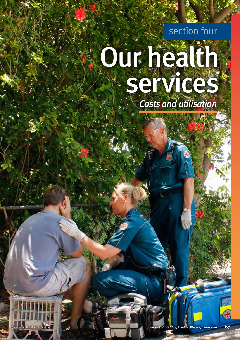section four

# Our health services *Costs and utilisation*



*Queensland Health Asset Library*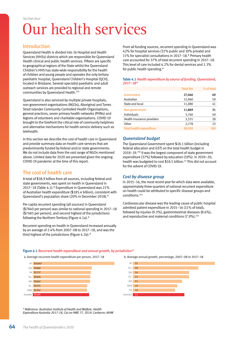## Our health services

#### Introduction

Queensland Health is divided into 16 Hospital and Health Services (HHSs) districts which are responsible for Queensland Health clinical and public health services. Fifteen are specific to geographical regions of the State whilst the Queensland Children's HHS has state-wide responsibility for the health of children and young people and operates the only tertiary paediatric hospital, Queensland Children's Hospital (QCH), located in Brisbane. Several specialist paediatric and adult outreach services are provided to regional and remote communities by Queensland Health.254

Queensland is also serviced by multiple private hospitals, non-government organisations (NGOs), Aboriginal and Torres Strait Islander Community Controlled Health Organisations, general practices, seven primary health networks (PHNs) and legions of volunteers and charitable organisations. COVID-19 brought to the forefront the critical role of community helplines and alternative mechanisms for health-service delivery such as telehealth.

In this section we describe the cost of health care in Queensland and provide summary data on health care services that are predominantly funded by federal and/or state governments. We do not include data from the vast range of NGOs mentioned above. Limited data for 2020 are presented given the ongoing COVID-19 pandemic at the time of this report.

#### The cost of health care

A total of \$38.9 billion from all sources, including federal and state governments, was spent on health in Queensland in 2017–18 (Table 4.1).\* Expenditure in Queensland was 21% of Australian health expenditure (\$185.4 billion), consistent with Queensland's population share (20% in December 2018).\*

Per capita recurrent spending (all sources) in Queensland (\$7840 per person) was similar to national spending in 2017–18 (\$7485 per person), and second highest of the jurisdictions following the Northern Territory (Figure 4.1a).\*

Recurrent spending on health in Queensland increased annually by an average of 2.4% from 2007–08 to 2017–18, and was the third highest of the jurisdictions (Figure 4.1b).\*

From all funding sources, recurrent spending in Queensland was 42% for hospital services (31% public and 10% private) and 11% for specialist consultations in 2017–18.\* Primary health care accounted for 37% of total recurrent spending in 2017–18. This level of care included 4.2% for dental services and 1.3% for public health spending.\*

#### Table 4.1 *Health expenditure by source of funding, Queensland, 2017–18\**

|                                 | <b>Total Sm</b> | % of total |
|---------------------------------|-----------------|------------|
| <b>Government</b>               | 27,040          | 69         |
| Australian                      | 15,960          | 59         |
| State and local                 | 11,080          | 41         |
| Non-government                  | 11,869          | 31         |
| Individuals                     | 5,760           | 49         |
| Health insurance providers      | 3,331           | 28         |
| Other                           | 2,778           | 23         |
| <b>Total health expenditure</b> | 38,909          | 100        |

#### *Queensland budget*

The Queensland Government spent \$18.1 billion (including federal allocation and GST) on the total health budget in 2018–19.256 It was the largest component of state government expenditure (37%) followed by education (19%). In 2019–20, health was budgeted to cost \$18.5 billion.<sup>55</sup> This did not account for the advent of COVID-19.

#### *Cost by disease group*

In 2015–16, the most recent year for which data were available, approximately three-quarters of national recurrent expenditure on health could be attributed to specific disease groups and conditions.255

Cardiovascular disease was the leading cause of public hospital admitted patient expenditure in 2015–16 (11% of total), followed by injuries (9.3%), gastrointestinal diseases (8.6%), and reproductive and maternal conditions (7.9%).<sup>255</sup>

#### Figure 4.1 *Recurrent health expenditure and annual growth, by jurisdiction\**

a. Average recurrent health expenditure per person, 2017–18 b. Average annual growth, percentage, 2007–08 to 2017–18





*\* Reference: Australian Institute of Health and Welfare. Health Expenditure Australia 2017-18, Cat.no HWE 77. 2019. Canberra: AIHW*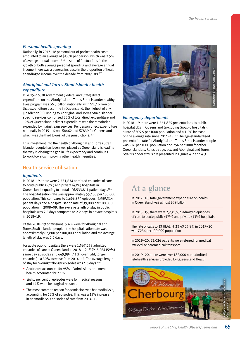#### *Personal health spending*

Nationally, in 2017–18 personal out-of-pocket health costs amounted to an average of \$1578 per person, which was 2.5% of average annual income.255 In spite of fluctuations in the growth of both average personal spending and average annual income, there was a general increase in the proportion of health spending to income over the decade from 2007–08.255

#### *Aboriginal and Torres Strait Islander health expenditure*

In 2015–16, all government (Federal and State) direct expenditure on the Aboriginal and Torres Strait Islander healthy lives program was \$6.3 billion nationally, with \$1.7 billion of that expenditure occurring in Queensland, the highest of any jurisdiction.257 Funding to Aboriginal and Torres Strait Islander specific services comprised 23% of total direct expenditure and 19% of Queensland's direct expenditure with the remainder expended by mainstream services. Per person direct expenditure nationally in 2015–16 was \$8462 and \$7839 for Queensland which was the third lowest of the jurisdictions.<sup>257</sup>

This investment into the health of Aboriginal and Torres Strait Islander people has been well placed as Queensland is leading the way in closing the gap in life expectancy and continues to work towards improving other health inequities.

#### Health service utilisation

#### *Inpatients*

In 2018–19, there were 2,731,634 admitted episodes of care to acute public (57%) and private (43%) hospitals in Queensland, equating to a total of 6,533,811 patient days.106 The hospitalisation rate was approximately 55,400 per 100,000 population. This compares to 1,696,874 episodes, 4,959,314 patient days and a hospitalisation rate of 39,000 per 100,000 population in 2008–09. The average length of stay in public hospitals was 2.5 days compared to 2.2 days in private hospitals in 2018–19.

Of the 2018–19 admissions, 5.6% were for Aboriginal and Torres Strait Islander people—the hospitalisation rate was approximately 67,800 per 100,000 population and the average length of stay was 2.2 days.

For acute public hospitals there were 1,567,258 admitted episodes of care in Queensland in 2018–19,106 (917,264 (59%) same day episodes and 649,994 (41%) overnight/longer episodes)—a 30% increase from 2014–15. The average length of stay for overnight/longer episodes was 4.6 days.<sup>106</sup>

- Acute care accounted for 95% of admissions and mental health accounted for 2.1%.
- Eighty per cent of episodes were for medical reasons and 14% were for surgical reasons.
- The most common reason for admission was haemodialysis, accounting for 13% of episodes. This was a 15% increase in haemodialysis episodes of care from 2014–15.



#### *Emergency departments*

In 2018–19 there were 1,561,825 presentations to public hospital EDs in Queensland (excluding Group C hospitals), a rate of 309.9 per 1000 population and a 1.5% increase on the average rate since 2014-15.<sup>258</sup> The age-standardised presentation rate for Aboriginal and Torres Strait Islander people was 526 per 1000 population and 256 per 1000 for other Queenslanders. Rates by age, sex and Aboriginal and Torres Strait Islander status are presented in Figures 4.2 and 4.3.

### **At a glance**

In 2017–18, total government expenditure on health in Queensland was almost \$39 billon

In 2018–19, there were 2,731,634 admitted episodes of care to acute public (57%) and private (43%) hospitals

The rate of calls to 13 HEALTH (13 43 25 84) in 2019–20 was 7236 per 100,000 population

In 2019–20, 23,026 patients were referred for medical retrieval or aeromedical transport

In 2019–20, there were over 182,000 non-admitted telehealth services provided by Queensland Health

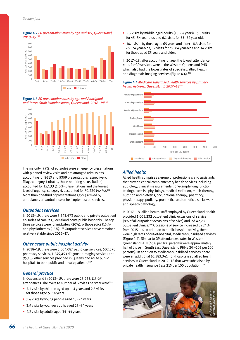Figure 4.2 *ED presentation rates by age and sex, Queensland, 2018–19258*



Figure 4.3 *ED presentation rates by age and Aboriginal and Torres Strait Islander status, Queensland, 2018–19258*



The majority (99%) of episodes were emergency presentations with planned review visits and pre-arranged admissions accounting for 8613 and 5359 presentations respectively. Triage category 1 (that is, those requiring resuscitation) accounted for 15,133 (1.0%) presentations and the lowest level of urgency, category 5, accounted for 70,229 (4.4%).<sup>258</sup> More than one-third of presentations (35%) arrived by ambulance, air ambulance or helicopter rescue services.

#### *Outpatient services*

In 2018–19, there were 5,643,673 public and private outpatient episodes of care in Queensland acute public hospitals. The top three services were for midwifery (20%), orthopaedics (15%) and physiotherapy (13%).<sup>107</sup> Outpatient services have remained relatively stable since 2016–17.

#### *Other acute public hospital activity*

In 2018–19, there were 5,304,087 pathology services, 502,370 pharmacy services, 1,549,453 diagnostic imaging services and 95,109 other services provided in Queensland acute public hospitals to both public and private patients.<sup>107</sup>

#### *General practice*

In Queensland in 2018–19, there were 25,265,113 GP attendances. The average number of GP visits per year were<sup>259</sup>:

- 5.1 visits by children aged up to 4 years and 2.5 visits for those aged 5–14 years
- 3.4 visits by young people aged 15-24 years
- 3.9 visits by younger adults aged 25–34 years
- 4.2 visits by adults aged 35–44 years
- 5.5 visits by middle-aged adults (45–64 years)—5.0 visits for 45–54 year-olds and 6.1 visits for 55–64 year-olds
- 10.1 visits by those aged 65 years and older—8.3 visits for 65–74 year-olds, 12 visits for 75–84 year-olds and 14 visits for those aged 85 years and older.

In 2017–18, after accounting for age, the lowest attendance rates for GP services were in the Western Queensland PHN which also had the lowest rates of specialist, allied health and diagnostic imaging services (Figure  $4.4$ ).<sup>260</sup>

#### Figure 4.4 *Medicare subsidised health services by primary health network, Queensland, 2017–18260*



#### *Allied health*

Allied health comprises a group of professionals and assistants that provide critical complementary health services including audiology, clinical measurements (for example lung function testing), exercise physiology, medical radiation, music therapy, nutrition and dietetics, occupational therapy, pharmacy, physiotherapy, podiatry, prosthetics and orthotics, social work and speech pathology.

In 2017–18, allied health staff employed by Queensland Health provided 1,005,232 outpatient clinic occasions of service (8% of all outpatient occasions of service) and led 42,231 outpatient clinics.<sup>260</sup> Occasions of service increased by 24% from 2015–16. In addition to public hospital activity, there were high rates of out-of-hospital, Medicare-subsidised services (Figure 4.4). Similar to GP attendances, rates in Western Queensland PHN (46.8 per 100 persons) were approximately half of those in South East Queensland PHNs (93–105 per 100 persons). In addition to Medicare-subsidised services, there were an additional 10,583,341 non-hospitalised allied health services in Queensland in 2017–18 that were subsidised by private health insurance (rate 215 per 100 population).260

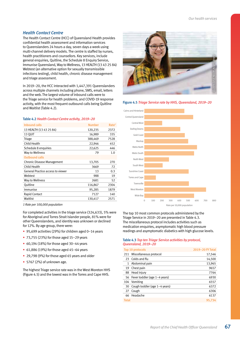#### *Health Contact Centre*

The Health Contact Centre (HCC) of Queensland Health provides confidential health assessment and information services to Queenslanders 24 hours a day, seven days a week using multi-channel delivery models. The centre is staffed by nurses, health practitioners and counsellors. Key services, include general enquiries, Quitline, the Schedule 8 Enquiry Service, Immunise Queensland, Way to Wellness, 13 HEALTH (13 43 25 84) Webtest (an alternative option for sexually transmissible infections testing), child health, chronic disease management and triage assessment.

In 2019–20, the HCC interacted with 1,447,391 Queenslanders across multiple channels including phone, SMS, email, letters and the web.The largest volume of inbound calls were to the Triage service for health problems, and COVID-19 response activity, with the most frequent outbound calls being Quitline and Waitlist (Table 4.2).

#### Table 4.2 *Health Contact Centre activity, 2019–20*

| <b>Number</b> | Rate <sup>1</sup> |
|---------------|-------------------|
| 120,235       | 2372              |
| 16,989        | 335               |
| 388,469       | 7528              |
| 22,946        | 452               |
| 22,625        | 446               |
| 79            | 1.0               |
|               |                   |
| 13,705        | 270               |
| 3669          | 72                |
| 13            | 0.3               |
| 988           | 19                |
| 2681          | 52                |
| 116,867       | 2304              |
| 95,285        | 1879              |
| 7127          | 140               |
| 130,417       | 2571              |
|               |                   |

*1 Rate per 100,000 population*

For completed activities in the triage service (324,633), 5% were for Aboriginal and Torres Strait Islander people, 81% were for other Queenslanders, and identity was unknown or declined for 12%. By age group, there were:

- 95,699 activities (29%) for children aged 0–14 years
- 73,755 (23%) for those aged 15–29 years
- 60,194 (18%) for those aged 30–44 years
- 61,886 (19%) for those aged 45–64 years
- 29,798 (9%) for those aged 65 years and older
- 5767 (2%) of unknown age.

The highest Triage service rate was in the West Moreton HHS (Figure 4.5) and the lowest was in the Torres and Cape HHS.



Figure 4.5 *Triage Service rate by HHS, Queensland, 2019–20*



The top 10 most common protocols administered by the Triage Service in 2019–20 are presented in Table 4.3. The miscellaneous protocol includes activities such as medication enquiries, asymptomatic high blood pressure readings and asymptomatic diabetics with high glucose levels.

#### Table 4.3 *Top ten Triage Service activities by protocol, Queensland, 2019–20*

|              | <b>Top 10 protocols</b>          | 2019-20 FY Total |
|--------------|----------------------------------|------------------|
| 211          | Miscellaneous protocol           | 17,546           |
| 23           | Colds and flu                    | 14,500           |
| 1            | Abdominal pain                   | 13,965           |
| 19           | Chest pain                       | 9657             |
| 88           | Head injury                      | 7764             |
|              | 56 Fever toddler (age 1-4 years) | 6930             |
| 104          | Vomiting                         | 6557             |
| 30           | Cough toddler (age 1-4 years)    | 6372             |
| 27           | Cough                            | 6306             |
|              | 66 Headache                      | 6137             |
| <b>Total</b> |                                  | 95.734           |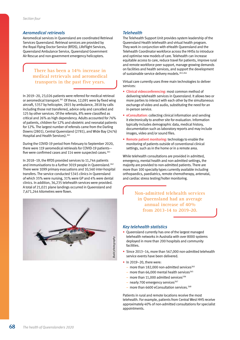#### *Aeromedical retrievals*

Aeromedical services in Queensland are coordinated Retrieval Services Queensland. Retrieval services are provided by the Royal Flying Doctor Service (RFDS), LifeFlight Services, Queensland Ambulance Service, Queensland Government Air Rescue and non-government emergency helicopters.

> **There has been a 14% increase in medical retrievals and aeromedical transports in the past five years.**

In 2019–20, 23,026 patients were referred for medical retrieval or aeromedical transport.261 Of these, 12,091 were by fixed wing aircraft, 5357 by helicopter, 2815 by ambulance, 2818 by calls including those not transferred, advice only and cancelled and 125 by other services. Of the referrals, 8% were classified as critical and 26% as high dependency. Adults accounted for 76% of patients, children for 12% and obstetric and neonatal patients for 12%. The largest number of referrals came from the Darling Downs (2801), Central Queensland (2781), and Wide Bay (2476) Hospital and Health Services).<sup>261</sup>

During the COVID-19 period from February to September 2020, there were 119 aeromedical retrievals for COVID-19 patients five were confirmed cases and 114 were suspected cases.<sup>261</sup>

In 2018–19, the RFDS provided services to 11,744 patients and immunisations to a further 3019 people in Queensland.<sup>262</sup> There were 1099 primary evacuations and 10,560 inter-hospital transfers. The service conducted 5345 clinics in Queensland of which 35% were nursing, 31% were GP and 4% were dental clinics. In addition, 36,235 telehealth services were provided. A total of 21,021 plane landings occurred in Queensland and 7,671,244 kilometres were flown.



#### *Telehealth*

The Telehealth Support Unit provides system leadership of the Queensland Health telehealth and virtual health program. They work in conjunction with eHealth Queensland and the Telehealth Coordinator workforce across the HHSs to introduce and optimise new models of care. Telehealth can increase equitable access to care, reduce travel for patients, improve rural and remote workforce peer support, manage growing demands on facilities and health services, and support the development of sustainable service delivery models.<sup>263,264</sup>

Virtual care currently uses three main technologies to deliver services:

- Clinical videoconferencing: most common method of delivering telehealth services in Queensland. It allows two or more parties to interact with each other by the simultaneous exchange of video and audio, substituting the need for an in-person service.
- eConsultation: collecting clinical information and sending it electronically to another site for evaluation. Information typically includes demographic data, medical history, documentation such as laboratory reports and may include images, video and/or sound files.
- Remote patient monitoring: technology to enable the monitoring of patients outside of conventional clinical settings, such as in the home or in a remote area.

While telehealth consultations are provided in admitted, emergency, mental health and non-admitted settings, the majority are provided to non-admitted patients. There are more than 100 specialty types currently available including orthopaedics, paediatrics, remote chemotherapy, antenatal, and cardiac stress testing/holter monitoring.

> **Non-admitted telehealth services in Queensland had an average annual increase of 40% from 2013-14 to 2019-20.**

#### *Key telehealth statistics*

- Queensland currently has one of the largest managed telehealth networks in Australia with over 8000 systems deployed in more than 200 hospitals and community facilities.
- Since 2013–14, more than 567,000 non-admitted telehealth service events have been delivered.
- In 2019-20, there were:
	- more than 182,000 non-admitted services $265$
	- more than 66,000 mental health services $265$
	- more than 11,000 admitted services<sup>106</sup>
	- nearly 700 emergency services $267$
	- more than 6600 eConsultation services. $268$

Patients in rural and remote locations receive the most telehealth. For example, patients from Central West HHS receive approximately 40% of non-admitted consultations for specialist appointments.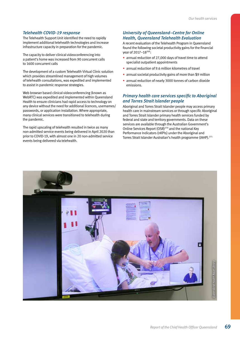#### *Telehealth COVID-19 response*

The Telehealth Support Unit identified the need to rapidly implement additional telehealth technologies and increase infrastructure capacity in preparation for the pandemic.

The capacity to deliver clinical videoconferencing into a patient's home was increased from 90 concurrent calls to 1600 concurrent calls

The development of a custom Telehealth Virtual Clinic solution which provides streamlined management of high volumes of telehealth consultations, was expedited and implemented to assist in pandemic response strategies.

Web browser based clinical videoconferencing (known as WebRTC) was expedited and implemented within Queensland Health to ensure clinicians had rapid access to technology on any device without the need for additional licences, usernames/ passwords, or application installation. Where appropriate, many clinical services were transitioned to telehealth during the pandemic.

The rapid upscaling of telehealth resulted in twice as many non-admitted service events being delivered in April 2020 than prior to COVID-19, with almost one in 20 non-admitted service events being delivered via telehealth.

#### *University of Queensland–Centre for Online Health, Queensland Telehealth Evaluation*

A recent evaluation of the Telehealth Program in Queensland found the following societal productivity gains for the financial year of 2017–18269:

- annual reduction of 27,000 days of travel time to attend specialist outpatient appointments
- annual reduction of 9.6 million kilometres of travel
- annual societal productivity gains of more than \$9 million
- annual reduction of nearly 3000 tonnes of carbon dioxide emissions.

#### *Primary health care services specific to Aboriginal and Torres Strait Islander people*

Aboriginal and Torres Strait Islander people may access primary health care in mainstream services or through specific Aboriginal and Torres Strait Islander primary health services funded by federal and state and territory governments. Data on these services are available through the Australian Government's Online Services Report (OSR)270 and the national Key Performance Indicators (nKPIs) under the Aboriginal and Torres Strait Islander Australian's health programme (IAHP).271